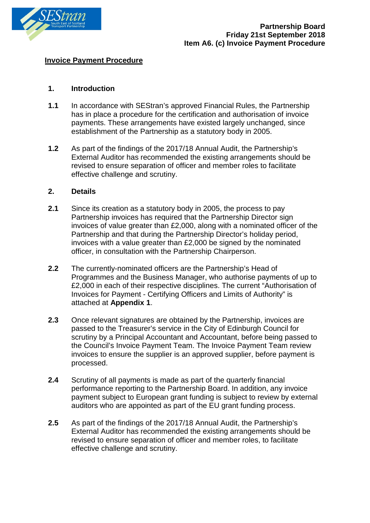

#### **Invoice Payment Procedure**

# **1. Introduction**

- **1.1** In accordance with SEStran's approved Financial Rules, the Partnership has in place a procedure for the certification and authorisation of invoice payments. These arrangements have existed largely unchanged, since establishment of the Partnership as a statutory body in 2005.
- **1.2** As part of the findings of the 2017/18 Annual Audit, the Partnership's External Auditor has recommended the existing arrangements should be revised to ensure separation of officer and member roles to facilitate effective challenge and scrutiny.

#### **2. Details**

- **2.1** Since its creation as a statutory body in 2005, the process to pay Partnership invoices has required that the Partnership Director sign invoices of value greater than £2,000, along with a nominated officer of the Partnership and that during the Partnership Director's holiday period, invoices with a value greater than £2,000 be signed by the nominated officer, in consultation with the Partnership Chairperson.
- **2.2** The currently-nominated officers are the Partnership's Head of Programmes and the Business Manager, who authorise payments of up to £2,000 in each of their respective disciplines. The current "Authorisation of Invoices for Payment - Certifying Officers and Limits of Authority" is attached at **Appendix 1**.
- **2.3** Once relevant signatures are obtained by the Partnership, invoices are passed to the Treasurer's service in the City of Edinburgh Council for scrutiny by a Principal Accountant and Accountant, before being passed to the Council's Invoice Payment Team. The Invoice Payment Team review invoices to ensure the supplier is an approved supplier, before payment is processed.
- **2.4** Scrutiny of all payments is made as part of the quarterly financial performance reporting to the Partnership Board. In addition, any invoice payment subject to European grant funding is subject to review by external auditors who are appointed as part of the EU grant funding process.
- **2.5** As part of the findings of the 2017/18 Annual Audit, the Partnership's External Auditor has recommended the existing arrangements should be revised to ensure separation of officer and member roles, to facilitate effective challenge and scrutiny.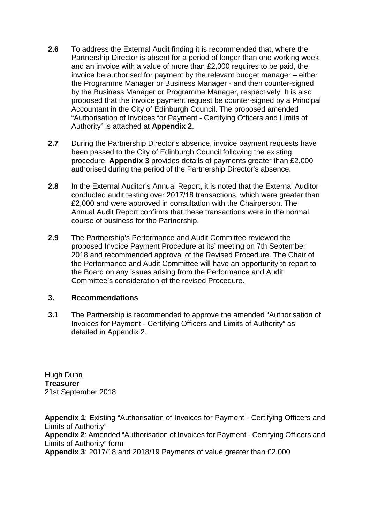- **2.6** To address the External Audit finding it is recommended that, where the Partnership Director is absent for a period of longer than one working week and an invoice with a value of more than £2,000 requires to be paid, the invoice be authorised for payment by the relevant budget manager – either the Programme Manager or Business Manager - and then counter-signed by the Business Manager or Programme Manager, respectively. It is also proposed that the invoice payment request be counter-signed by a Principal Accountant in the City of Edinburgh Council. The proposed amended "Authorisation of Invoices for Payment - Certifying Officers and Limits of Authority" is attached at **Appendix 2**.
- **2.7** During the Partnership Director's absence, invoice payment requests have been passed to the City of Edinburgh Council following the existing procedure. **Appendix 3** provides details of payments greater than £2,000 authorised during the period of the Partnership Director's absence.
- **2.8** In the External Auditor's Annual Report, it is noted that the External Auditor conducted audit testing over 2017/18 transactions, which were greater than £2,000 and were approved in consultation with the Chairperson. The Annual Audit Report confirms that these transactions were in the normal course of business for the Partnership.
- **2.9** The Partnership's Performance and Audit Committee reviewed the proposed Invoice Payment Procedure at its' meeting on 7th September 2018 and recommended approval of the Revised Procedure. The Chair of the Performance and Audit Committee will have an opportunity to report to the Board on any issues arising from the Performance and Audit Committee's consideration of the revised Procedure.

# **3. Recommendations**

**3.1** The Partnership is recommended to approve the amended "Authorisation of Invoices for Payment - Certifying Officers and Limits of Authority" as detailed in Appendix 2.

Hugh Dunn **Treasurer** 21st September 2018

**Appendix 1**: Existing "Authorisation of Invoices for Payment - Certifying Officers and Limits of Authority" **Appendix 2**: Amended "Authorisation of Invoices for Payment - Certifying Officers and Limits of Authority" form **Appendix 3**: 2017/18 and 2018/19 Payments of value greater than £2,000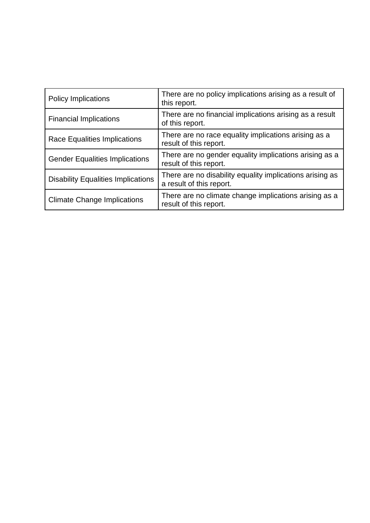| <b>Policy Implications</b>                | There are no policy implications arising as a result of<br>this report.              |
|-------------------------------------------|--------------------------------------------------------------------------------------|
| <b>Financial Implications</b>             | There are no financial implications arising as a result<br>of this report.           |
| <b>Race Equalities Implications</b>       | There are no race equality implications arising as a<br>result of this report.       |
| <b>Gender Equalities Implications</b>     | There are no gender equality implications arising as a<br>result of this report.     |
| <b>Disability Equalities Implications</b> | There are no disability equality implications arising as<br>a result of this report. |
| <b>Climate Change Implications</b>        | There are no climate change implications arising as a<br>result of this report.      |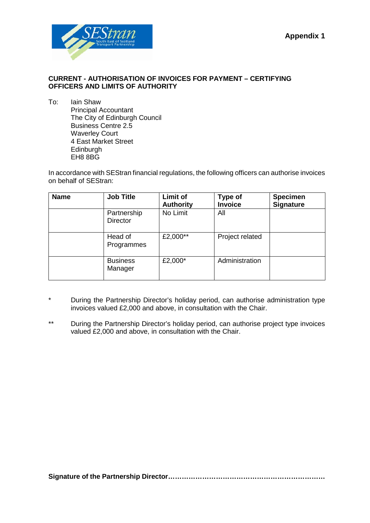

## **CURRENT - AUTHORISATION OF INVOICES FOR PAYMENT – CERTIFYING OFFICERS AND LIMITS OF AUTHORITY**

To: Iain Shaw Principal Accountant The City of Edinburgh Council Business Centre 2.5 Waverley Court 4 East Market Street **Edinburgh** EH8 8BG

In accordance with SEStran financial regulations, the following officers can authorise invoices on behalf of SEStran:

| <b>Name</b> | <b>Job Title</b>               | Limit of<br><b>Authority</b> | <b>Type of</b><br><b>Invoice</b> | <b>Specimen</b><br><b>Signature</b> |
|-------------|--------------------------------|------------------------------|----------------------------------|-------------------------------------|
|             | Partnership<br><b>Director</b> | No Limit                     | All                              |                                     |
|             | Head of<br>Programmes          | £2,000**                     | Project related                  |                                     |
|             | <b>Business</b><br>Manager     | £2,000*                      | Administration                   |                                     |

- \* During the Partnership Director's holiday period, can authorise administration type invoices valued £2,000 and above, in consultation with the Chair.
- \*\* During the Partnership Director's holiday period, can authorise project type invoices valued £2,000 and above, in consultation with the Chair.

**Signature of the Partnership Director……………………………………………………………**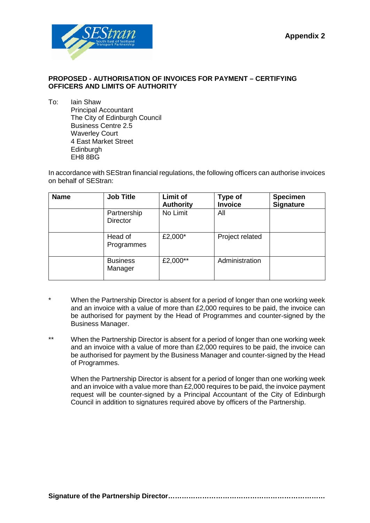

# **PROPOSED - AUTHORISATION OF INVOICES FOR PAYMENT – CERTIFYING OFFICERS AND LIMITS OF AUTHORITY**

To: Iain Shaw Principal Accountant The City of Edinburgh Council Business Centre 2.5 Waverley Court 4 East Market Street **Edinburgh** EH8 8BG

In accordance with SEStran financial regulations, the following officers can authorise invoices on behalf of SEStran:

| <b>Name</b> | <b>Job Title</b>               | <b>Limit of</b><br><b>Authority</b> | <b>Type of</b><br><b>Invoice</b> | <b>Specimen</b><br><b>Signature</b> |
|-------------|--------------------------------|-------------------------------------|----------------------------------|-------------------------------------|
|             | Partnership<br><b>Director</b> | No Limit                            | All                              |                                     |
|             | Head of<br>Programmes          | £2,000*                             | Project related                  |                                     |
|             | <b>Business</b><br>Manager     | £2,000**                            | Administration                   |                                     |

- When the Partnership Director is absent for a period of longer than one working week and an invoice with a value of more than £2,000 requires to be paid, the invoice can be authorised for payment by the Head of Programmes and counter-signed by the Business Manager.
- \*\* When the Partnership Director is absent for a period of longer than one working week and an invoice with a value of more than £2,000 requires to be paid, the invoice can be authorised for payment by the Business Manager and counter-signed by the Head of Programmes.

When the Partnership Director is absent for a period of longer than one working week and an invoice with a value more than £2,000 requires to be paid, the invoice payment request will be counter-signed by a Principal Accountant of the City of Edinburgh Council in addition to signatures required above by officers of the Partnership.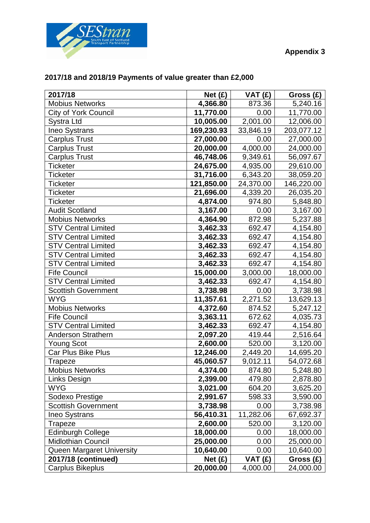



| 2017/18                    | Net (£)    | VAT (£)   | Gross $(E)$ |
|----------------------------|------------|-----------|-------------|
| <b>Mobius Networks</b>     | 4,366.80   | 873.36    | 5,240.16    |
| City of York Council       | 11,770.00  | 0.00      | 11,770.00   |
| <b>Systra Ltd</b>          | 10,005.00  | 2,001.00  | 12,006.00   |
| Ineo Systrans              | 169,230.93 | 33,846.19 | 203,077.12  |
| <b>Carplus Trust</b>       | 27,000.00  | 0.00      | 27,000.00   |
| <b>Carplus Trust</b>       | 20,000.00  | 4,000.00  | 24,000.00   |
| <b>Carplus Trust</b>       | 46,748.06  | 9,349.61  | 56,097.67   |
| <b>Ticketer</b>            | 24,675.00  | 4,935.00  | 29,610.00   |
| <b>Ticketer</b>            | 31,716.00  | 6,343.20  | 38,059.20   |
| <b>Ticketer</b>            | 121,850.00 | 24,370.00 | 146,220.00  |
| <b>Ticketer</b>            | 21,696.00  | 4,339.20  | 26,035.20   |
| <b>Ticketer</b>            | 4,874.00   | 974.80    | 5,848.80    |
| <b>Audit Scotland</b>      | 3,167.00   | 0.00      | 3,167.00    |
| <b>Mobius Networks</b>     | 4,364.90   | 872.98    | 5,237.88    |
| <b>STV Central Limited</b> | 3,462.33   | 692.47    | 4,154.80    |
| <b>STV Central Limited</b> | 3,462.33   | 692.47    | 4,154.80    |
| <b>STV Central Limited</b> | 3,462.33   | 692.47    | 4,154.80    |
| <b>STV Central Limited</b> | 3,462.33   | 692.47    | 4,154.80    |
| <b>STV Central Limited</b> | 3,462.33   | 692.47    | 4,154.80    |
| <b>Fife Council</b>        | 15,000.00  | 3,000.00  | 18,000.00   |
| <b>STV Central Limited</b> | 3,462.33   | 692.47    | 4,154.80    |
| <b>Scottish Government</b> | 3,738.98   | 0.00      | 3,738.98    |
| <b>WYG</b>                 | 11,357.61  | 2,271.52  | 13,629.13   |
| <b>Mobius Networks</b>     | 4,372.60   | 874.52    | 5,247.12    |
| <b>Fife Council</b>        | 3,363.11   | 672.62    | 4,035.73    |
| <b>STV Central Limited</b> | 3,462.33   | 692.47    | 4,154.80    |
| Anderson Strathern         | 2,097.20   | 419.44    | 2,516.64    |
| <b>Young Scot</b>          | 2,600.00   | 520.00    | 3,120.00    |
| Car Plus Bike Plus         | 12,246.00  | 2,449.20  | 14,695.20   |
| <b>Trapeze</b>             | 45,060.57  | 9,012.11  | 54,072.68   |
| <b>Mobius Networks</b>     | 4,374.00   | 874.80    | 5,248.80    |
| Links Design               | 2,399.00   | 479.80    | 2,878.80    |
| <b>WYG</b>                 | 3,021.00   | 604.20    | 3,625.20    |
| Sodexo Prestige            | 2,991.67   | 598.33    | 3,590.00    |
| <b>Scottish Government</b> | 3,738.98   | 0.00      | 3,738.98    |
| <b>Ineo Systrans</b>       | 56,410.31  | 11,282.06 | 67,692.37   |
| Trapeze                    | 2,600.00   | 520.00    | 3,120.00    |
| <b>Edinburgh College</b>   | 18,000.00  | 0.00      | 18,000.00   |
| <b>Midlothian Council</b>  | 25,000.00  | 0.00      | 25,000.00   |
| Queen Margaret University  | 10,640.00  | 0.00      | 10,640.00   |
| 2017/18 (continued)        | Net $(E)$  | VAT (£)   | Gross (£)   |
| <b>Carplus Bikeplus</b>    | 20,000.00  | 4,000.00  | 24,000.00   |

# **2017/18 and 2018/19 Payments of value greater than £2,000**